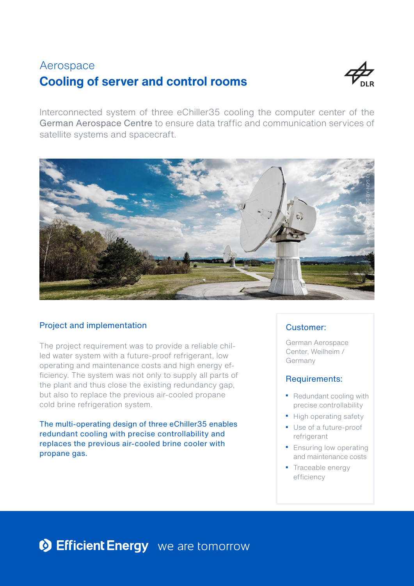# **Cooling of server and control rooms** Aerospace



Interconnected system of three eChiller35 cooling the computer center of the German Aerospace Centre to ensure data traffic and communication services of satellite systems and spacecraft.



## Project and implementation

The project requirement was to provide a reliable chilled water system with a future-proof refrigerant, low operating and maintenance costs and high energy efficiency. The system was not only to supply all parts of the plant and thus close the existing redundancy gap, but also to replace the previous air-cooled propane cold brine refrigeration system.

The multi-operating design of three eChiller35 enables redundant cooling with precise controllability and replaces the previous air-cooled brine cooler with propane gas.

### Customer:

German Aerospace Center, Weilheim / Germany

### Requirements:

- Redundant cooling with precise controllability
- High operating safety
- Use of a future-proof refrigerant
- **Ensuring low operating** and maintenance costs
- Traceable energy efficiency